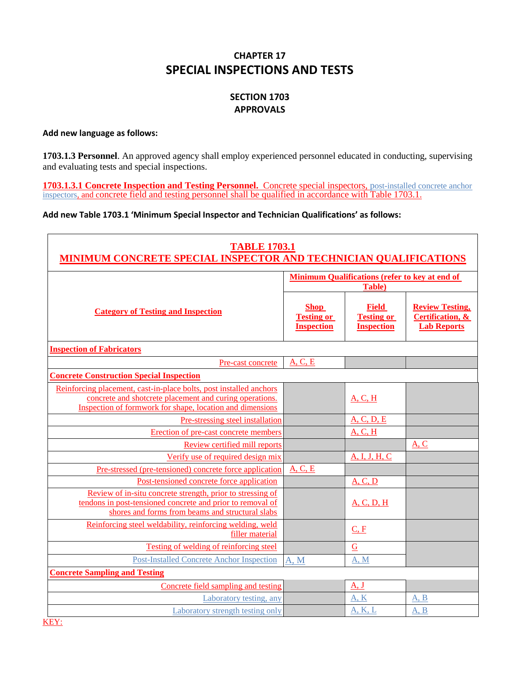# **CHAPTER 17 SPECIAL INSPECTIONS AND TESTS**

# **SECTION 1703 APPROVALS**

#### **Add new language as follows:**

**1703.1.3 Personnel**. An approved agency shall employ experienced personnel educated in conducting, supervising and evaluating tests and special inspections.

**1703.1.3.1 Concrete Inspection and Testing Personnel.** Concrete special inspectors, post-installed concrete anchor inspectors, and concrete field and testing personnel shall be qualified in accordance with Table 1703.1.

## **Add new Table 1703.1 'Minimum Special Inspector and Technician Qualifications' as follows:**

| <b>TABLE 1703.1</b><br><b>MINIMUM CONCRETE SPECIAL INSPECTOR AND TECHNICIAN QUALIFICATIONS</b>                                                                                             |                                                                 |                                                        |                                                                  |
|--------------------------------------------------------------------------------------------------------------------------------------------------------------------------------------------|-----------------------------------------------------------------|--------------------------------------------------------|------------------------------------------------------------------|
|                                                                                                                                                                                            | <b>Minimum Qualifications (refer to key at end of</b><br>Table) |                                                        |                                                                  |
| <b>Category of Testing and Inspection</b>                                                                                                                                                  | <b>Shop</b><br><b>Testing or</b><br><b>Inspection</b>           | <b>Field</b><br><b>Testing or</b><br><b>Inspection</b> | <b>Review Testing,</b><br>Certification, &<br><b>Lab Reports</b> |
| <b>Inspection of Fabricators</b>                                                                                                                                                           |                                                                 |                                                        |                                                                  |
| Pre-cast concrete                                                                                                                                                                          | A, C, E                                                         |                                                        |                                                                  |
| <b>Concrete Construction Special Inspection</b>                                                                                                                                            |                                                                 |                                                        |                                                                  |
| Reinforcing placement, cast-in-place bolts, post installed anchors<br>concrete and shotcrete placement and curing operations.<br>Inspection of formwork for shape, location and dimensions |                                                                 | A, C, H                                                |                                                                  |
| Pre-stressing steel installation                                                                                                                                                           |                                                                 | A, C, D, E                                             |                                                                  |
| Erection of pre-cast concrete members                                                                                                                                                      |                                                                 | A, C, H                                                |                                                                  |
| Review certified mill reports                                                                                                                                                              |                                                                 |                                                        | A, C                                                             |
| Verify use of required design mix                                                                                                                                                          |                                                                 | A, I, J, H, C                                          |                                                                  |
| Pre-stressed (pre-tensioned) concrete force application                                                                                                                                    | A, C, E                                                         |                                                        |                                                                  |
| Post-tensioned concrete force application                                                                                                                                                  |                                                                 | A, C, D                                                |                                                                  |
| Review of in-situ concrete strength, prior to stressing of<br>tendons in post-tensioned concrete and prior to removal of<br>shores and forms from beams and structural slabs               |                                                                 | A, C, D, H                                             |                                                                  |
| Reinforcing steel weldability, reinforcing welding, weld<br>filler material                                                                                                                |                                                                 | C, F                                                   |                                                                  |
| Testing of welding of reinforcing steel                                                                                                                                                    |                                                                 | G                                                      |                                                                  |
| <b>Post-Installed Concrete Anchor Inspection</b>                                                                                                                                           | A, M                                                            | A, M                                                   |                                                                  |
| <b>Concrete Sampling and Testing</b>                                                                                                                                                       |                                                                 |                                                        |                                                                  |
| Concrete field sampling and testing                                                                                                                                                        |                                                                 | A, J                                                   |                                                                  |
| Laboratory testing, any                                                                                                                                                                    |                                                                 | A, K                                                   | A, B                                                             |
| Laboratory strength testing only                                                                                                                                                           |                                                                 | A, K, L                                                | A, B                                                             |